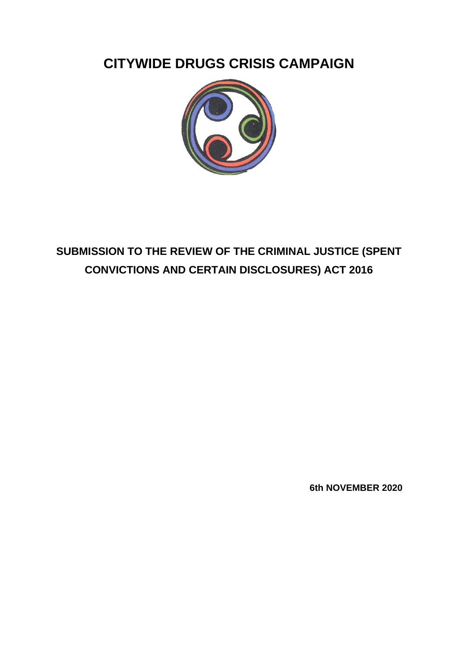**CITYWIDE DRUGS CRISIS CAMPAIGN**



# **SUBMISSION TO THE REVIEW OF THE CRIMINAL JUSTICE (SPENT CONVICTIONS AND CERTAIN DISCLOSURES) ACT 2016**

**6th NOVEMBER 2020**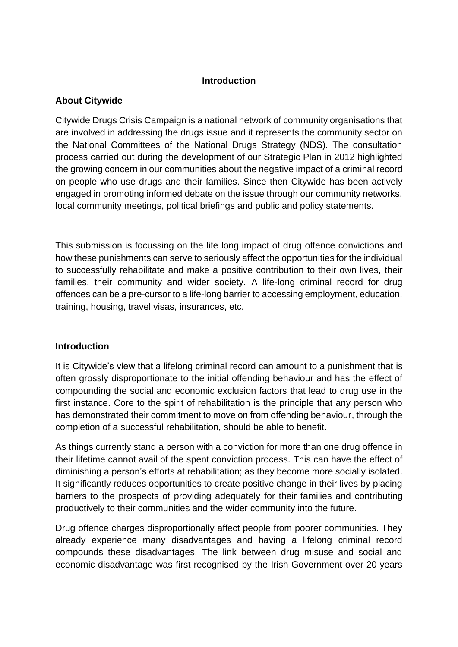### **Introduction**

#### **About Citywide**

Citywide Drugs Crisis Campaign is a national network of community organisations that are involved in addressing the drugs issue and it represents the community sector on the National Committees of the National Drugs Strategy (NDS). The consultation process carried out during the development of our Strategic Plan in 2012 highlighted the growing concern in our communities about the negative impact of a criminal record on people who use drugs and their families. Since then Citywide has been actively engaged in promoting informed debate on the issue through our community networks, local community meetings, political briefings and public and policy statements.

This submission is focussing on the life long impact of drug offence convictions and how these punishments can serve to seriously affect the opportunities for the individual to successfully rehabilitate and make a positive contribution to their own lives, their families, their community and wider society. A life-long criminal record for drug offences can be a pre-cursor to a life-long barrier to accessing employment, education, training, housing, travel visas, insurances, etc.

#### **Introduction**

It is Citywide's view that a lifelong criminal record can amount to a punishment that is often grossly disproportionate to the initial offending behaviour and has the effect of compounding the social and economic exclusion factors that lead to drug use in the first instance. Core to the spirit of rehabilitation is the principle that any person who has demonstrated their commitment to move on from offending behaviour, through the completion of a successful rehabilitation, should be able to benefit.

As things currently stand a person with a conviction for more than one drug offence in their lifetime cannot avail of the spent conviction process. This can have the effect of diminishing a person's efforts at rehabilitation; as they become more socially isolated. It significantly reduces opportunities to create positive change in their lives by placing barriers to the prospects of providing adequately for their families and contributing productively to their communities and the wider community into the future.

Drug offence charges disproportionally affect people from poorer communities. They already experience many disadvantages and having a lifelong criminal record compounds these disadvantages. The link between drug misuse and social and economic disadvantage was first recognised by the Irish Government over 20 years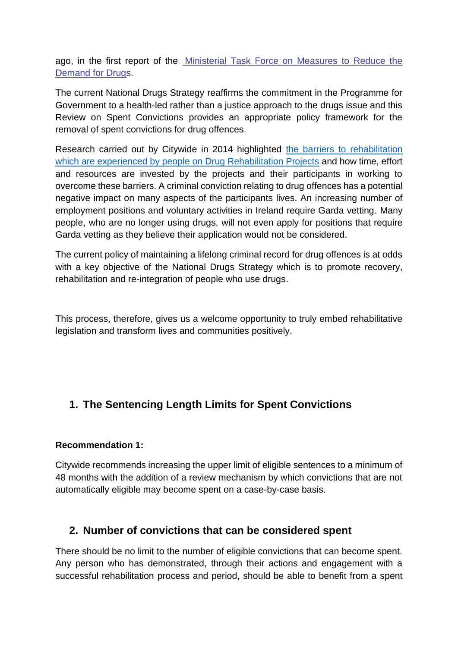ago, in the first report of the [Ministerial Task Force on Measures to Reduce the](https://www.citywide.ie/download/pdf/ministerial_task_force_to_reduce_demand_for_drugs.pdf)  [Demand for Drugs](https://www.citywide.ie/download/pdf/ministerial_task_force_to_reduce_demand_for_drugs.pdf).

The current National Drugs Strategy reaffirms the commitment in the Programme for Government to a health-led rather than a justice approach to the drugs issue and this Review on Spent Convictions provides an appropriate policy framework for the removal of spent convictions for drug offences.

Research carried out by Citywide in 2014 highlighted [the barriers to rehabilitation](https://www.citywide.ie/resources/2014-barriers-or-bridges-drugs-rehabilitation-projects-the-road-to-recovery/)  [which are experienced by people on Drug Rehabilitation Projects](https://www.citywide.ie/resources/2014-barriers-or-bridges-drugs-rehabilitation-projects-the-road-to-recovery/) and how time, effort and resources are invested by the projects and their participants in working to overcome these barriers. A criminal conviction relating to drug offences has a potential negative impact on many aspects of the participants lives. An increasing number of employment positions and voluntary activities in Ireland require Garda vetting. Many people, who are no longer using drugs, will not even apply for positions that require Garda vetting as they believe their application would not be considered.

The current policy of maintaining a lifelong criminal record for drug offences is at odds with a key objective of the National Drugs Strategy which is to promote recovery, rehabilitation and re-integration of people who use drugs.

This process, therefore, gives us a welcome opportunity to truly embed rehabilitative legislation and transform lives and communities positively.

## **1. The Sentencing Length Limits for Spent Convictions**

### **Recommendation 1:**

Citywide recommends increasing the upper limit of eligible sentences to a minimum of 48 months with the addition of a review mechanism by which convictions that are not automatically eligible may become spent on a case-by-case basis.

### **2. Number of convictions that can be considered spent**

There should be no limit to the number of eligible convictions that can become spent. Any person who has demonstrated, through their actions and engagement with a successful rehabilitation process and period, should be able to benefit from a spent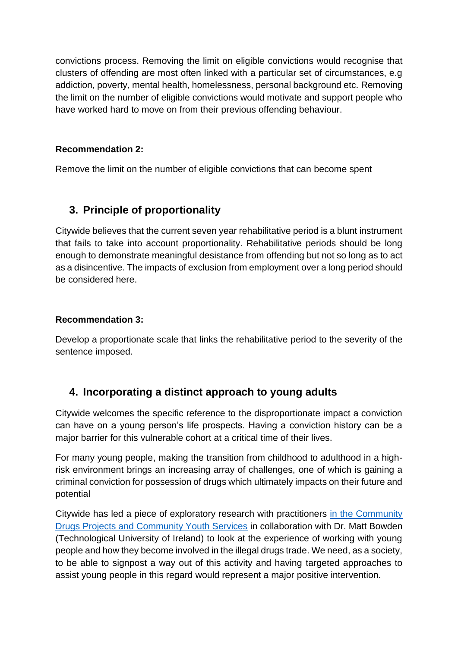convictions process. Removing the limit on eligible convictions would recognise that clusters of offending are most often linked with a particular set of circumstances, e.g addiction, poverty, mental health, homelessness, personal background etc. Removing the limit on the number of eligible convictions would motivate and support people who have worked hard to move on from their previous offending behaviour.

### **Recommendation 2:**

Remove the limit on the number of eligible convictions that can become spent

### **3. Principle of proportionality**

Citywide believes that the current seven year rehabilitative period is a blunt instrument that fails to take into account proportionality. Rehabilitative periods should be long enough to demonstrate meaningful desistance from offending but not so long as to act as a disincentive. The impacts of exclusion from employment over a long period should be considered here.

### **Recommendation 3:**

Develop a proportionate scale that links the rehabilitative period to the severity of the sentence imposed.

### **4. Incorporating a distinct approach to young adults**

Citywide welcomes the specific reference to the disproportionate impact a conviction can have on a young person's life prospects. Having a conviction history can be a major barrier for this vulnerable cohort at a critical time of their lives.

For many young people, making the transition from childhood to adulthood in a highrisk environment brings an increasing array of challenges, one of which is gaining a criminal conviction for possession of drugs which ultimately impacts on their future and potential

Citywide has led a piece of exploratory research with practitioners in the Community [Drugs Projects and Community Youth Services](https://www.citywide.ie/assets/files/pdf/2019_the_drug_economy_and_youth_interventions.pdf?issuusl=ignore) in collaboration with Dr. Matt Bowden (Technological University of Ireland) to look at the experience of working with young people and how they become involved in the illegal drugs trade. We need, as a society, to be able to signpost a way out of this activity and having targeted approaches to assist young people in this regard would represent a major positive intervention.